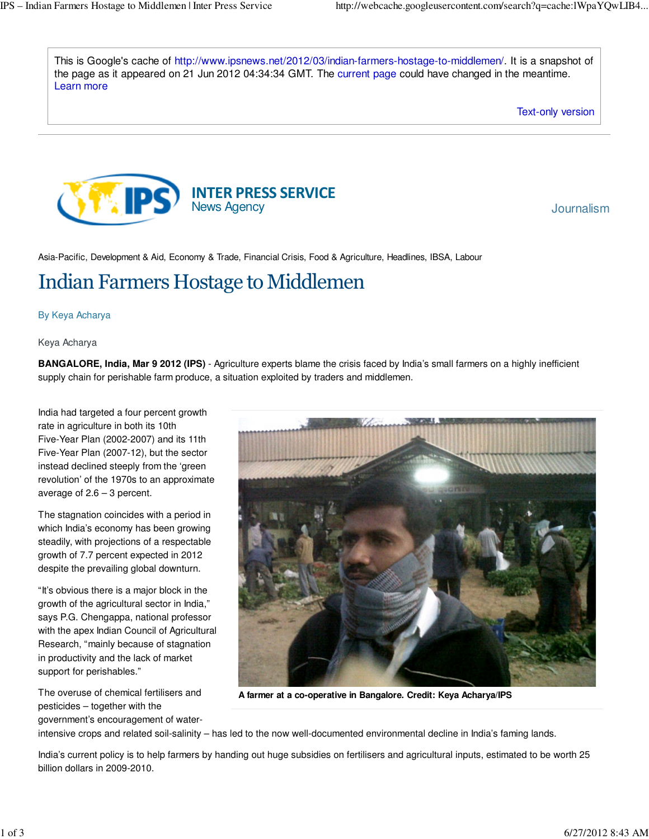This is Google's cache of http://www.ipsnews.net/2012/03/indian-farmers-hostage-to-middlemen/. It is a snapshot of the page as it appeared on 21 Jun 2012 04:34:34 GMT. The current page could have changed in the meantime. Learn more



Asia-Pacific, Development & Aid, Economy & Trade, Financial Crisis, Food & Agriculture, Headlines, IBSA, Labour

## Indian Farmers Hostage to Middlemen

## By Keya Acharya

## Keya Acharya

**BANGALORE, India, Mar 9 2012 (IPS)** - Agriculture experts blame the crisis faced by India's small farmers on a highly inefficient supply chain for perishable farm produce, a situation exploited by traders and middlemen.

India had targeted a four percent growth rate in agriculture in both its 10th Five-Year Plan (2002-2007) and its 11th Five-Year Plan (2007-12), but the sector instead declined steeply from the 'green revolution' of the 1970s to an approximate average of  $2.6 - 3$  percent.

The stagnation coincides with a period in which India's economy has been growing steadily, with projections of a respectable growth of 7.7 percent expected in 2012 despite the prevailing global downturn.

"It's obvious there is a major block in the growth of the agricultural sector in India," says P.G. Chengappa, national professor with the apex Indian Council of Agricultural Research, "mainly because of stagnation in productivity and the lack of market support for perishables."

The overuse of chemical fertilisers and pesticides – together with the

government's encouragement of water-



**A farmer at a co-operative in Bangalore. Credit: Keya Acharya/IPS**

intensive crops and related soil-salinity – has led to the now well-documented environmental decline in India's faming lands.

India's current policy is to help farmers by handing out huge subsidies on fertilisers and agricultural inputs, estimated to be worth 25 billion dollars in 2009-2010.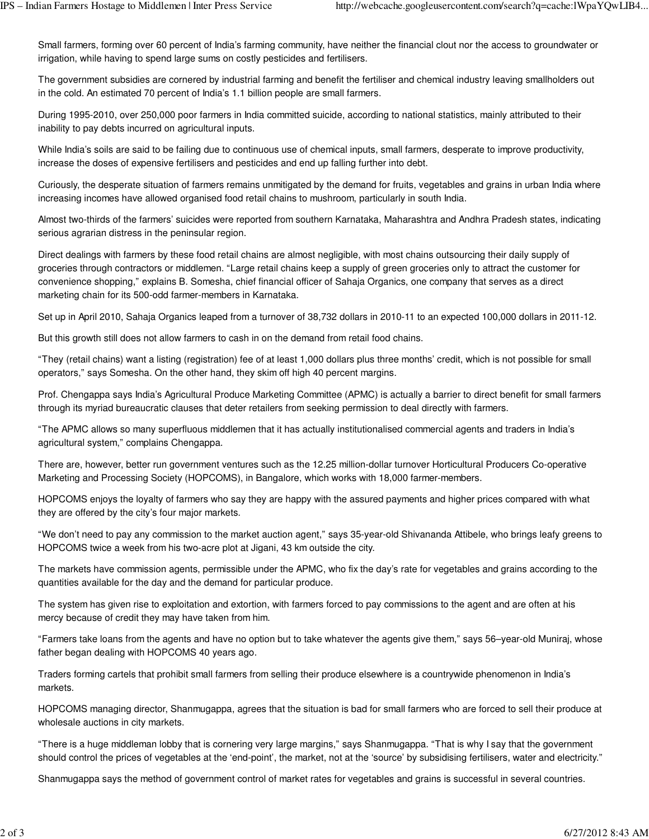Small farmers, forming over 60 percent of India's farming community, have neither the financial clout nor the access to groundwater or irrigation, while having to spend large sums on costly pesticides and fertilisers.

The government subsidies are cornered by industrial farming and benefit the fertiliser and chemical industry leaving smallholders out in the cold. An estimated 70 percent of India's 1.1 billion people are small farmers.

During 1995-2010, over 250,000 poor farmers in India committed suicide, according to national statistics, mainly attributed to their inability to pay debts incurred on agricultural inputs.

While India's soils are said to be failing due to continuous use of chemical inputs, small farmers, desperate to improve productivity, increase the doses of expensive fertilisers and pesticides and end up falling further into debt.

Curiously, the desperate situation of farmers remains unmitigated by the demand for fruits, vegetables and grains in urban India where increasing incomes have allowed organised food retail chains to mushroom, particularly in south India.

Almost two-thirds of the farmers' suicides were reported from southern Karnataka, Maharashtra and Andhra Pradesh states, indicating serious agrarian distress in the peninsular region.

Direct dealings with farmers by these food retail chains are almost negligible, with most chains outsourcing their daily supply of groceries through contractors or middlemen. "Large retail chains keep a supply of green groceries only to attract the customer for convenience shopping," explains B. Somesha, chief financial officer of Sahaja Organics, one company that serves as a direct marketing chain for its 500-odd farmer-members in Karnataka.

Set up in April 2010, Sahaja Organics leaped from a turnover of 38,732 dollars in 2010-11 to an expected 100,000 dollars in 2011-12.

But this growth still does not allow farmers to cash in on the demand from retail food chains.

"They (retail chains) want a listing (registration) fee of at least 1,000 dollars plus three months' credit, which is not possible for small operators," says Somesha. On the other hand, they skim off high 40 percent margins.

Prof. Chengappa says India's Agricultural Produce Marketing Committee (APMC) is actually a barrier to direct benefit for small farmers through its myriad bureaucratic clauses that deter retailers from seeking permission to deal directly with farmers.

"The APMC allows so many superfluous middlemen that it has actually institutionalised commercial agents and traders in India's agricultural system," complains Chengappa.

There are, however, better run government ventures such as the 12.25 million-dollar turnover Horticultural Producers Co-operative Marketing and Processing Society (HOPCOMS), in Bangalore, which works with 18,000 farmer-members.

HOPCOMS enjoys the loyalty of farmers who say they are happy with the assured payments and higher prices compared with what they are offered by the city's four major markets.

"We don't need to pay any commission to the market auction agent," says 35-year-old Shivananda Attibele, who brings leafy greens to HOPCOMS twice a week from his two-acre plot at Jigani, 43 km outside the city.

The markets have commission agents, permissible under the APMC, who fix the day's rate for vegetables and grains according to the quantities available for the day and the demand for particular produce.

The system has given rise to exploitation and extortion, with farmers forced to pay commissions to the agent and are often at his mercy because of credit they may have taken from him.

"Farmers take loans from the agents and have no option but to take whatever the agents give them," says 56–year-old Muniraj, whose father began dealing with HOPCOMS 40 years ago.

Traders forming cartels that prohibit small farmers from selling their produce elsewhere is a countrywide phenomenon in India's markets.

HOPCOMS managing director, Shanmugappa, agrees that the situation is bad for small farmers who are forced to sell their produce at wholesale auctions in city markets.

"There is a huge middleman lobby that is cornering very large margins," says Shanmugappa. "That is why I say that the government should control the prices of vegetables at the 'end-point', the market, not at the 'source' by subsidising fertilisers, water and electricity."

Shanmugappa says the method of government control of market rates for vegetables and grains is successful in several countries.